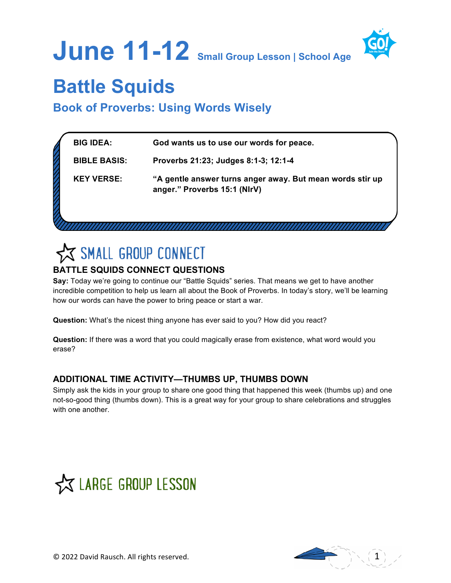



# **Battle Squids**

**Book of Proverbs: Using Words Wisely**

| <b>BIG IDEA:</b>    | God wants us to use our words for peace.                                                  |
|---------------------|-------------------------------------------------------------------------------------------|
| <b>BIBLE BASIS:</b> | Proverbs 21:23; Judges 8:1-3; 12:1-4                                                      |
| <b>KEY VERSE:</b>   | "A gentle answer turns anger away. But mean words stir up<br>anger." Proverbs 15:1 (NIrV) |
|                     |                                                                                           |

# SMALL GROUP CONNECT

# **BATTLE SQUIDS CONNECT QUESTIONS**

**Say:** Today we're going to continue our "Battle Squids" series. That means we get to have another incredible competition to help us learn all about the Book of Proverbs. In today's story, we'll be learning how our words can have the power to bring peace or start a war.

**Question:** What's the nicest thing anyone has ever said to you? How did you react?

**Question:** If there was a word that you could magically erase from existence, what word would you erase?

## **ADDITIONAL TIME ACTIVITY—THUMBS UP, THUMBS DOWN**

Simply ask the kids in your group to share one good thing that happened this week (thumbs up) and one not-so-good thing (thumbs down). This is a great way for your group to share celebrations and struggles with one another.



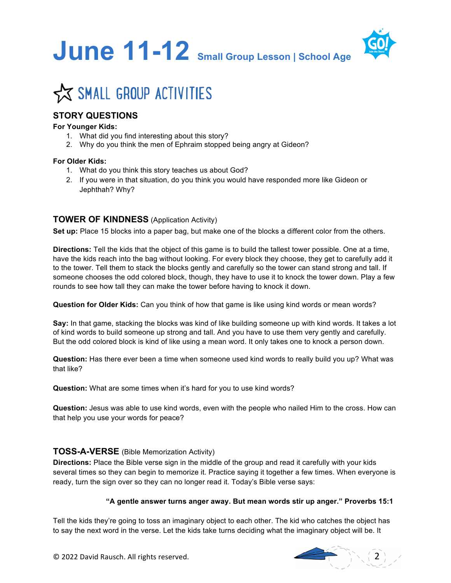



## **STORY QUESTIONS**

#### **For Younger Kids:**

- 1. What did you find interesting about this story?
- 2. Why do you think the men of Ephraim stopped being angry at Gideon?

#### **For Older Kids:**

- 1. What do you think this story teaches us about God?
- 2. If you were in that situation, do you think you would have responded more like Gideon or Jephthah? Why?

#### **TOWER OF KINDNESS** (Application Activity)

**Set up:** Place 15 blocks into a paper bag, but make one of the blocks a different color from the others.

**Directions:** Tell the kids that the object of this game is to build the tallest tower possible. One at a time, have the kids reach into the bag without looking. For every block they choose, they get to carefully add it to the tower. Tell them to stack the blocks gently and carefully so the tower can stand strong and tall. If someone chooses the odd colored block, though, they have to use it to knock the tower down. Play a few rounds to see how tall they can make the tower before having to knock it down.

**Question for Older Kids:** Can you think of how that game is like using kind words or mean words?

**Say:** In that game, stacking the blocks was kind of like building someone up with kind words. It takes a lot of kind words to build someone up strong and tall. And you have to use them very gently and carefully. But the odd colored block is kind of like using a mean word. It only takes one to knock a person down.

**Question:** Has there ever been a time when someone used kind words to really build you up? What was that like?

**Question:** What are some times when it's hard for you to use kind words?

**Question:** Jesus was able to use kind words, even with the people who nailed Him to the cross. How can that help you use your words for peace?

#### **TOSS-A-VERSE** (Bible Memorization Activity)

**Directions:** Place the Bible verse sign in the middle of the group and read it carefully with your kids several times so they can begin to memorize it. Practice saying it together a few times. When everyone is ready, turn the sign over so they can no longer read it. Today's Bible verse says:

#### **"A gentle answer turns anger away. But mean words stir up anger." Proverbs 15:1**

Tell the kids they're going to toss an imaginary object to each other. The kid who catches the object has to say the next word in the verse. Let the kids take turns deciding what the imaginary object will be. It



© 2022 David Rausch. All rights reserved.